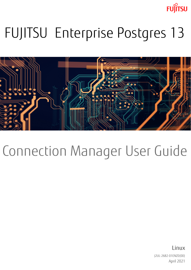**FUJITSU** 

# FUJITSU Enterprise Postgres 13



# Connection Manager User Guide

J2UL-2682-01ENZ0(00) April 2021 **Linux**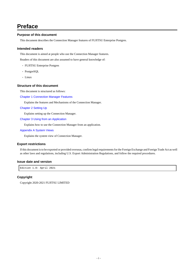# **Preface**

#### **Purpose of this document**

This document describes the Connection Manager features of FUJITSU Enterprise Postgres.

#### **Intended readers**

This document is aimed at people who use the Connection Manager features.

Readers of this document are also assumed to have general knowledge of:

- FUJITSU Enterprise Postgres
- PostgreSQL
- Linux

#### **Structure of this document**

This document is structured as follows:

[Chapter 1 Connection Manager Features](#page-3-0)

Explains the features and Mechanisms of the Connection Manager.

#### [Chapter 2 Setting Up](#page-6-0)

Explains setting up the Connection Manager.

[Chapter 3 Using from an Application](#page-12-0)

Explains how to use the Connection Manager from an application.

#### [Appendix A System Views](#page-14-0)

Explains the system view of Connection Manager.

#### **Export restrictions**

If this document is to be exported or provided overseas, confirm legal requirements for the Foreign Exchange and Foreign Trade Act as well as other laws and regulations, including U.S. Export Administration Regulations, and follow the required procedures.

#### **Issue date and version**

Edition 1.0: April 2021

#### **Copyright**

Copyright 2020-2021 FUJITSU LIMITED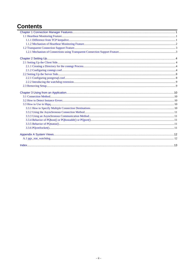# **Contents**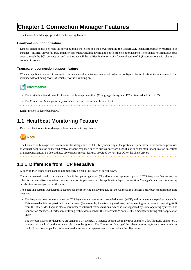# <span id="page-3-0"></span>**Chapter 1 Connection Manager Features**

The Connection Manager provides the following features:

#### **Heartbeat monitoring feature**

Detects kernel panics between the server running the client and the server running the PostgreSQL instance(hereinafter referred to as instance), physical server failures, and inter-server network link downs, and notifies the client or instance. The client is notified as an error event through the SQL connection, and the instance will be notified in the form of a force collection of SQL connections with clients that are out of service.

#### **Transparent connection support feature**

When an application wants to connect to an instance of an attribute in a set of instances configured for replication, it can connect to that instance without being aware of which server it is running on.

## Information

- The available client drivers for Connection Manager are libpq (C language library) and ECPG (embedded SQL in C).
- The Connection Manager is only available for Linux server and Linux client.

Each function is described below.

## **1.1 Heartbeat Monitoring Feature**

Describes the Connection Manager's heartbeat monitoring feature.



The Connection Manager does not monitor for delays, such as CPU busy occurring in the postmaster process or in the backend processes to which the application connects directly, or for no response, such as due to a software bugs. It also does not monitor application downtime or unresponsiveness. To detect these, use various timeout features provided by PostgreSQL or the client drivers.

## **1.1.1 Difference from TCP keepalive**

A peer of TCP connections cannot automatically detect a link down or server down.

There are two main methods to detect it. One is the operating system (Not all operating systems support it) TCP keepalive feature, and the other is the keepalive-equivalent timeout function implemented at the application layer. Connection Manager's heartbeat monitoring capabilities are categorized as the latter.

The operating system TCP keepalive feature has the following disadvantages, but the Connection Manager's heartbeat monitoring feature does not:

- The keepalive does not work when the TCP layer cannot receive an acknowledgement (ACK) and retransmits the packet repeatedly. This means that it is not possible to detect a down (For example, if a network goes down,) before sending some data and receiving ACK from the other side. There is also a parameter to interrupt retransmissions, which is not supported by some operating systems. The Connection Manager's heartbeat monitoring feature does not have this disadvantage because it is timeout monitoring at the application layer.
- The periodic packets for keepalive are sent per-TCP socket. If a instance accepts too many (For example, a few thousand clients) SQL connections, the load on the instance side cannot be ignored. The Connection Manager's heartbeat monitoring feature greatly reduces the load by allowing packets to be sent to the instance on a per-server basis on which the client runs.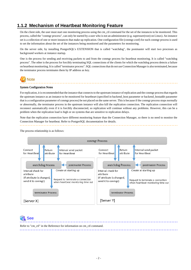## <span id="page-4-0"></span>**1.1.2 Mechanism of Heartbeat Monitoring Feature**

On the client side, the user must start one monitoring process using the cm\_ctl command for the set of the instances to be monitored. This process, called the "conmgr process", can only be started by a user who is not an administrator (e.g. superuser(root) on Linux). An instance set is a collection of one or more instances that make up replication. One configuration file (conmgr.conf) for each conmgr process is used to set the information about the set of the instances being monitored and the parameters for monitoring.

On the server side, by installing PostgreSQL's EXTENSION that is called "watchdog", the postmaster will start two processes as background workers at instance startup.

One is the process for sending and receiving packets to and from the conmgr process for heartbeat monitoring. It is called "watchdog process". The other is the process for forcibly terminating SQL connections of the clients for which the watchdog process detects a failure on heartbeat monitorting. It is called "terminator process". SQL connections that do not use Connection Manager is also terminated, because the terminator process terminates them by IP address as key.



#### System Configuration Notes

For replication, it is recommended that the instance that connects to the upstream instance of replication and the conmgr process that regards the upstream instance as an instance to be monitored for heartbeart (specified in backend\_host parameter or backend\_hostaddr parameter that is a configuration parameter of conmgr process) be not placed on the same server. This is because if the conmgr process stops normally or abnormally, the terminator process in the upstream instance will also kill the replication connection. The replication connection will reconnect automatically even if it is forcibly disconnected, so replication will continue without any problems. However, this can be a problem when the replication load is high or on systems that are sensitive to replication delays.

Note that the replication connection have different monitoring feature than the Connection Manager, so there is no need to monitor the Connection Manager for heartbeat. Refer to PostgreSQL documentation for details.

The process relationship is as follows:



 See Refer to "cm\_ctl" in the Reference for information on cm\_ctl command.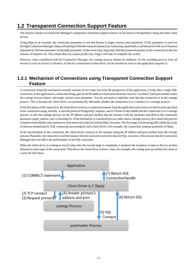## <span id="page-5-0"></span>**1.2 Transparent Connection Support Feature**

The features similar to Connection Manager's transparent connection support feature can be found in PostgreSQL's libpq and other client drivers.

Using libpq as an example, the connection parameter to use that feature is target\_session\_attrs parameter. If this parameter is used not through Connection Manager, libpq will attempt to find the required instance by connecting sequentially to all instances of the set of instance requested by the host parameter or hostaddr parameter. In the worst case, libpq may find the promoted primary at the connection to the last instance of instance set. This means that you cannot predict how long it will take to complete the switch.

However, when conmbined with the Connection Manager, the conmgr process obtains its attributes via the watchdog process from all servers in a set of servers in advance, so that the connections to that server can be initiated as soon as the application requests it.

### **1.2.1 Mechanism of Connections using Transparent Connection Support Feature**

A connection using this mechanism actually consists of two steps, but from the perspective of the application, it looks like a single SQL connection. In the application's connection string, specify the IP address or host name (In most cases it is "localhost") and port number where the conmgr process listens, and target\_session\_attrs parameter. You do not need to explicitly state that the connection is to the conmgr process. This is because the client driver can automatically determine whether the connection is to a instance or a conmgr process.

In the first phase of the connection, the client driver receives a connection request from the application and connects to the location specified in the connection string. Initially, it uses the protocol PostgreSQL requests, and if it learns in the middle that the connection is to a conmgr process, it asks the conmgr process for the IP address and port number that the instance with the attributes specified in the connection parameter target session attrs is listening for. If the destination is a backend process rather than a conmgr process, the connection process completes immediately and continues to send and receive data for normal SQL execution. The first stage of processing falls within the scope of timeout monitoring for SQL connection processing by each client driver. For example, the connection\_timeout parameter of libpq.

In the second phase of the connection, the client driver connects to the instance using the IP address and port number from the conmgr process.Thereafter, the client driver and the instance directly send and receive the data for SQL execution. This ensures that the Connection Manager does not affect the performance of the SQL execution.

When the client driver is waiting to receive data after the second stage is completed, it monitors the reception of data to the two sockets obtained at each stage of the connection. This allows the client driver to know when, for example, the conmgr process notifies the client of a network link down.

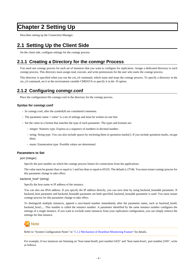# <span id="page-6-0"></span>**Chapter 2 Setting Up**

Describes setting up the Connection Manager.

## **2.1 Setting Up the Client Side**

On the client side, configure settings for the conmgr process.

## **2.1.1 Creating a Directory for the conmgr Process**

You need one conmgr process for each set of instances that you want to configure for replication. Assign a dedicated directory to each conmgr process. This directory must assign read, execute, and write permissions for the user who starts the conmgr process.

This directory is specified when you run the cm\_ctl command, which starts and stops the conmgr process. To specify a directory in the cm\_ctl command, set it in the environment variable CMDATA or specify it in the -D option.

## **2.1.2 Configuring conmgr.conf**

Place the configuration file conmgr.conf in the directory for the conmgr process.

#### **Syntax for conmgr.conf**

- In conmgr.conf, after the symbol(#) are considered comments.
- The parameter name = value" is a set of settings and must be written on one line.
- Set the value in a format that matches the type of each parameter. The types and formats are:
	- integer: Numeric type. Express as a sequence of numbers in decimal number.
	- string: String type. You can also include spaces by enclosing them in quotation marks('). If you include quotation marks, escape them.
	- enum: Enumeration type. Possible values are determined.

#### **Parameters to Set**

#### port (integer)

Specify the port number on which the conmgr process listens for connections from the applications.

The value must be greater than or equal to 1 and less than or equal to 65535. The default is 27546. You must restart conmgr process for this parameter change to take effect.

#### backend\_host\* (string)

Specify the host name or IP address of the instance.

You can also use IPv6 address. If you specify the IP address directly, you can save time by using backend hostaddr parameter. If backend\_host parameter and backend\_hostaddr parameter are both specified, backend\_hostaddr parameter is used. You must restart conmgr process for this parameter change to take effect.

To distinguish multiple instances, append a zero-based number immediately after the parameter name, such as backend\_host0, backend\_host1,... This number is called the instance number. A parameter identified by the same instance number configures the settings of a single instance. If you want to exclude some instances from your replication configuration, you can simply remove the settings for that instance.



For example, if two instances are listening on "host name:host0, port number:5432" and "host name:host1, port number:2345", write as follows.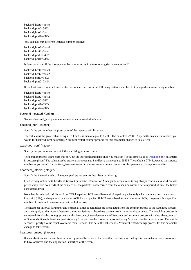<span id="page-7-0"></span>backend\_host0='host0' backend\_port0=5432 backend\_host1='host1' backend\_port1=2345

You can also mix different instance number settings:

backend\_host0='host0' backend\_host1='host1' backend\_port0=5432 backend\_port1=2345

It does not matter if the instance number is missing as in the following (instance number 1):

backend\_host0='host0' backend\_host2='host2' backend\_port0=5432 backend\_port2=2345

If the host name is omitted even if the port is specified, as in the following instance number 1, it is regarded as a missisng number.

backend\_host0='host0' backend\_host2='host2' backend\_port0=5432 backend\_port1=5555 backend\_port2=2345

#### backend\_hostaddr\*(string)

Same as backend\_host parameter except no name resolution is used.

#### backend\_port\* (integer)

Specify the port number the postmaster of the instance will listen on.

The value must be greater than or equal to 1 and less than or equal to 65535. The default is 27500. Append the instance number as you would for backend\_host parameter. You must restart conmgr process for this parameter change to take effect.

#### watchdog\_port\* (integer)

Specify the port number on which the watchdog process listens.

The conmgr process connects to this port, but the user application does not. you must set it to the same value as watchdog, port parameter in postgresql.conf. The value must be greater than or equal to 1 and less than or equal to 65535. The default is 27545. Append the instance number as you would for backend\_host parameter. You must restart conmgr process for this parameter change to take effect.

#### heartbeat\_interval (integer)

Specify the interval at which heartbeat packets are sent for heartbeat monitoring.

Used in conjunction with heartbeat\_timeout parameter. Connection Manager heartbeat monitoring always continues to send packets periodically from both ends of the connection. If a packet is not received from the other side within a certain period of time, the link is considered down.

Note that this method is different from TCP keepalive. TCP keepalive send a keepalive packet only when there is a certain amount of inactivity (idle), and expects to receive an ACK for that packet. If TCP keepalive does not receive an ACK, it repeats this a specified number of times and then assumes that the link is down.

The heartbeat\_interval parameter and heartbeat\_timeout parameter are propagated from the conmgr process to the watchdog process, and also apply to the interval between the transmissions of heartbeat packets from the watchdog process. If a watchdog process is connected from both a conmgr process with a heartbeat\_interval parameter of 3 seconds and a conmgr process with a heartbeat\_interval of 5 seconds, it sends heartbeat packets every 3 seconds to the former process and every 5 seconds to the latter process. The unit is seconds. Specify a value equal to or more than 1 second. The default is 10 seconds. You must restart conmgr process for this parameter change to take effect.

#### heartbeat\_timeout (integer)

If a heartbeat packet for heartbeat monitoring cannot be received for more than the time specified by this parameter, an error is assumed to have occurred and the application is notified of the error.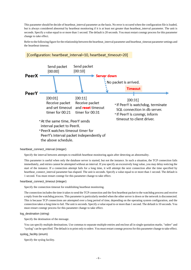<span id="page-8-0"></span>This parameter should be decide of heartbeat\_interval parameter as the basis. No error is occured when the configuration file is loaded, but is always considered abnormal by heartbeat monitoring if it is at least not greater than heartbeat\_interval parameter. The unit is seconds. Specify a value equal to or more than 1 second. The default is 20 seconds. You must restart conmgr process for this parameter change to take effect.

Refer to the following figure for the relationship between the heartbeat\_interval parameter and heartbeat\_timeout parameter settings and the heartbeat timeout.



#### [Configuration: heartbeat interval=10, heartbeat timeout=20]

#### heartbeat\_connect\_interval (integer)

Specify the interval between attempts to establish heartbeat monitoring again after detecting an abnormality.

This parameter is useful when only the database server is started, but not the instance. In such a situation, the TCP connection fails immediately, and retries cannot be attempted without an interval. If you specify an excessively long value, you may delay noticing the start of the instance. If a connection attempt fails for a long time, it will attempt the next connection after the time specified by heartbeat\_connect\_interval parameter has elapsed. The unit is seconds. Specify a value equal to or more than 1 second. The default is 1 second. You must restart conmgr for this parameter change to take effect.

#### heartbeat\_connect\_timeout (integer)

Specify the connection timeout for establishing heartbeat monitoring.

The connection includes the time it takes to send the TCP connection and the first heartbeat packet to the watchdog process and receive a reply from the watchdog process. This parameter is particularly needed when the other server is down or the network is disconnected. This is because TCP connections are attempted over a long period of time, depending on the operating system configuration, and the connection takes a long time to fail. The unit is seconds. Specify a value equal to or more than 1 second. The default is 10 seconds. You must restart conmgr process for this parameter change to take effect.

#### log\_destination (string)

Specify the destination of the message.

You can specify multiple destinations. Use commas to separate multiple entries and enclose all in single quotation marks. "stderr" and "syslog" can be specified. The default is to print only to stderr. You must restart conmgr process for this parameter change to take effect.

#### syslog\_facility (enum)

Specify the syslog facility.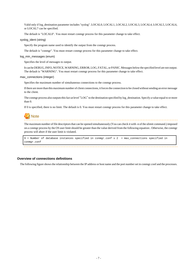<span id="page-9-0"></span>Valid only if log\_destination parameter includes "syslog". LOCAL0, LOCAL1, LOCAL2, LOCAL3, LOCAL4, LOCAL5, LOCAL6, or LOCAL7 can be specified.

The default is "LOCAL0". You must restart conmgr process for this parameter change to take effect.

#### syslog\_ident (string)

Specify the program name used to identify the output from the conmgr process.

The default is "conmgr". You must restart conmgr process for this parameter change to take effect.

#### log\_min\_messages (enum)

Specifies the level of messages to output.

It can be DEBUG, INFO, NOTICE, WARNING, ERROR, LOG, FATAL, or PANIC. Messages below the specified level are not output. The default is "WARNING". You must restart conmgr process for this parameter change to take effect.

#### max\_connections (integer)

Specifies the maximum number of simultaneous connections to the conmgr process.

If there are more than this maximum number of client connections, it forces the connection to be closed without sending an error message to the client.

The conmgr process also outputs this fact at level "LOG" to the destination specified by log\_destination. Specify a value equal to or more than 0.

If 0 is specified, there is no limit. The default is 0. You must restart conmgr process for this parameter change to take effect.

# **Note**

The maximum number of file descriptors that can be opened simultaneously (You can check it with -n of the ulimit command.) imposed on a conmgr process by the OS user limit should be greater than the value derived from the following equation:. Otherwise, the conmgr process will abort if the user limit is violated.

9 + Number of database instances specified in conmgr.conf x 2 + max\_connections specified in conmgr.conf

#### **Overview of connections definitions**

The following figure shows the relationship between the IP address or host name and the port number set in conmgr.conf and the processes.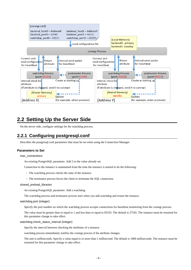<span id="page-10-0"></span>

## **2.2 Setting Up the Server Side**

On the server side, configure settings for the watchdog process.

## **2.2.1 Configuring postgresql.conf**

Describes the postgresql.conf parameters that must be set when using the Connection Manager.

#### **Parameters to Set**

max\_connections

An existing PostgreSQL parameter. Add 2 to the value already set.

Connection to the instance is maintained from the time the instance is started to do the following:

- The watchdog process checks the state of the instance.

- The terminator process forces the client to terminate the SQL connection.

#### shared preload libraries

An existing PostgreSQL parameter. Add a watchdog.

The watchdog process and terminator process start when you add watchdog and restart the instance.

#### watchdog.port (integer)

Specify the port number on which the watchdog process accepts connections for heartbeat monitoring from the conmgr process.

The value must be greater than or equal to 1 and less than or equal to 65535. The default is 27545. The instance must be restarted for this parameter change to take effect.

#### watchdog.check\_status\_interval (integer)

Specify the interval between checking the attributes of a instance.

watchdog process immediately notifies the conmgr process if the attribute changes.

The unit is milliseconds. Specify a value equal to or more than 1 millisecond. The default is 1000 milliseconds. The instance must be restarted for this parameter change to take effect.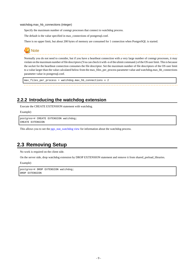<span id="page-11-0"></span>watchdog.max\_hb\_connections (integer)

Specify the maximum number of conmgr processes that connect to watchdog process.

The default is the value specified in max\_connections of postgresql.conf.

There is no upper limit, but about 200 bytes of memory are consumed for 1 connection when PostgreSQL is started.



Normally you do not need to consider, but if you have a heartbeat connection with a very large number of conmgr processes, it may violate on the maximum number of file descriptors (You can check it with -n of the ulimit command.) of the OS user limit. This is because the socket for the heartbeat connection consumes the file descriptor. Set the maximum number of file descriptors of the OS user limit to a value larger than the value calculated below from the max\_files\_per\_process parameter value and watchdog.max\_hb\_connections parameter value in postgresql.conf.

max\_files\_per\_process + watchdog.max\_hb\_connections x 2

### **2.2.2 Introducing the watchdog extension**

Execute the CREATE EXTENSION statement with watchdog.

Example)

```
postgres=# CREATE EXTENSION watchdog;
CREATE EXTENSION
```
This allows you to see the [pgx\\_stat\\_watchdog view](#page-14-0) for information about the watchdog process.

## **2.3 Removing Setup**

No work is required on the client side.

On the server side, drop watchdog extension by DROP EXTENSION statement and remove it from shared\_preload\_libraries.

Example)

```
postgres=# DROP EXTENSION watchdog;
DROP EXTENSION
```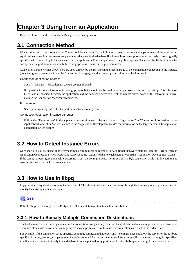# <span id="page-12-0"></span>**Chapter 3 Using from an Application**

Describes how to use the Connection Manager from an application.

## **3.1 Connection Method**

When connecting to the instance using ConnectionManager, specify the following values in the connection parameters of the application. Application connection parameters are parameters that specify the database IP address, host name, port number, etc., which are originally specified when connecting to the database from the application. For example, when using libpq, specify "localhost" for the host parameter and specify the port number on which the conmgr process listens for the port parameter.

Connection parameters not shown here are used directly by the instance in the second stage of the connection, connecting to the instance (connecting to an instance without the Connection Manager), and the conmgr process does not check or use it.

Connection destination address

Specify "localhost". Unix domain sockets are not allowed.

It is possible to connect to a remote conmgr process, but it should not be used for other purposes expect such as testing. This is because there is no mechanism between the application and the conmgr process to detect the remote server down or the network link down, making the Connection Manager meaningless.

#### Port number

Specify the value specified for the port parameter in conmgr.conf.

Connection destination instance attributes

Follow the "Target server" in the application connection switch feature. Refer to "Taget server" in "Connection Information for the Application Connection Switch Feature" in the "Application Development Guide" for information on the target server in the application connection switch feature.

## **3.2 How to Detect Instance Errors**

Only special if you are using libpq's asynchronous communication method. For additional discovery methods, refer to "Errors when an Application Connection Switch Occurs and Corresponding Actions" of the for each client driver in the "Application Development Guide" . If the conmgr process goes down while accessing it, or if the conmgr process tries to establish a SQL connection while it is down, the same error is returned as if the instance went down.

## **3.3 How to Use in libpq**

libpq provides very detailed communication control. Therefore, to detect a heartbeat error through the conmgr process, you may need to modify the existing application logic.



Refer to "libpq - C Library" in the PostgreSQL Documentation on functions described below.

## **3.3.1 How to Specify Multiple Connection Destinations**

The host parameter or hostaddr parameter in the connection string not only specifies the destination of one conmgr process, but can also be a mixture of destinations of other conmgr processes and postmaster. In this case, the connections are tried in the order listed.

For example, if the connection string specifies conmgr1, conmgr2 in that order, and if conmgr1 does not know the server for the attribute specified in target\_session\_attrs parameter, it queries conmgr2 for the destination. And, for example, if postmaster1, conmgr1 is specified, it will attempt to connect directly to the database instance pointed to by postmaster1. If this fails, query conmgr1 for a connection.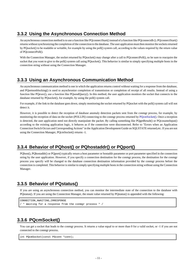## <span id="page-13-0"></span>**3.3.2 Using the Asynchronous Connection Method**

An asynchronous connection method is to use a function like PQconnectStart() instead of a function like PQconnectdb (). PQconnectStart() returns without synchronizing the completion of the connection to the database. The user application must then monitor the sockets returned by PQsocket() to be readable or writable, for example by using the poll() system call, according to the values required by the return value of PQconnectPoll().

With the Connection Manager, the socket returned by PQsocket() may change after a call to PQconnectPoll(), so be sure to reacquire the socket that you want to give to the poll() system call using PQsocket(). This behavior is similar to simply specifying multiple hosts in the connection string without using the Connection Manager.

## **3.3.3 Using an Asynchronous Communication Method**

An asynchronous communication method is one in which the application returns control without waiting for a response from the database, and PQsetnonblocking() is used to asynchronize completion of transmission or completion of receipt of all results. Instead of using a function like PQexec(), use a function like PQsendQuery(). In this method, the user application monitors the socket that connects to the database returned by PQsocket(), for example, by using the poll() system call.

For example, if the link to the database goes down, simply monitoring the socket returned by PQsocket with the poll() system call will not detect it.

However, it is possible to detect the reception of database anomaly detection packets sent from the conmgr process, for example, by monitoring the reception of data on the socket (POLLIN) connecting to the conmgr process returned by PQcmSocket(). Once a reception is detected, the user application need not directly manipulate the packet. By calling something like PQgetResult() or PQcosumeInput() according to the existing application logic, it behaves as if the connection were disconnected. Refer to "Errors when an Application Connection Switch Occurs and Corresponding Actions" in the Application Development Guide on SQLSTATE returned,etc. If you are not using the Connection Manager, PQcmSocket() returns -1.

## **3.3.4 Behavior of PQhost() or PQhostaddr() or PQport()**

PQhost(), PQhostaddr() or PQport() typically return a host parameter or hostaddr parameter or port parameter specified in the connection string by the user application. However, if you specify a connection destination for the conmgr process, the destination for the conmgr process you specify will be changed to the database connection destination information provided by the conmgr process before the connection is completed. This behavior is similar to simply specifying multiple hosts in the connection string without using the Connection Manager.

## **3.3.5 Behavior of PQstatus()**

If you are using an asynchronous connection method, you can monitor the intermediate state of the connection to the database with PQstatus(). If you are using the Connection Manager, the enum value returned by PQstatus() is appended with the following:

```
CONNECTION_AWAITING_CMRESPONSE
 / * Waiting for a response from the conmgr process * /
```
## **3.3.6 PQcmSocket()**

You can get a socket that leads to the conmgr process. It returns a value equal to or more than 0 for a valid socket, or -1 if you are not connected to the conmgr process.

```
int PQcmSocket(const PGconn *conn);
```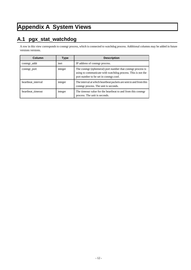# <span id="page-14-0"></span>**Appendix A System Views**

# **A.1 pgx\_stat\_watchdog**

A row in this view corresponds to conmgr process, which is connected to watchdog process. Additional columns may be added in future versions versions.

| Column             | <b>Type</b> | <b>Description</b>                                                                                                                                                |
|--------------------|-------------|-------------------------------------------------------------------------------------------------------------------------------------------------------------------|
| conmgr_addr        | inet        | IP address of conmgr process.                                                                                                                                     |
| conmgr_port        | integer     | The conmgr (ephemeral) port number that conmgr process is<br>using to communicate with watchdog process. This is not the<br>port number to be set in conmer.conf. |
| heartbeat interval | integer     | The interval at which heartbeat packets are sent to and from this<br>conmar process. The unit is seconds.                                                         |
| heartbeat timeout  | integer     | The timeout value for the heartbeat to and from this conmgr<br>process. The unit is seconds.                                                                      |